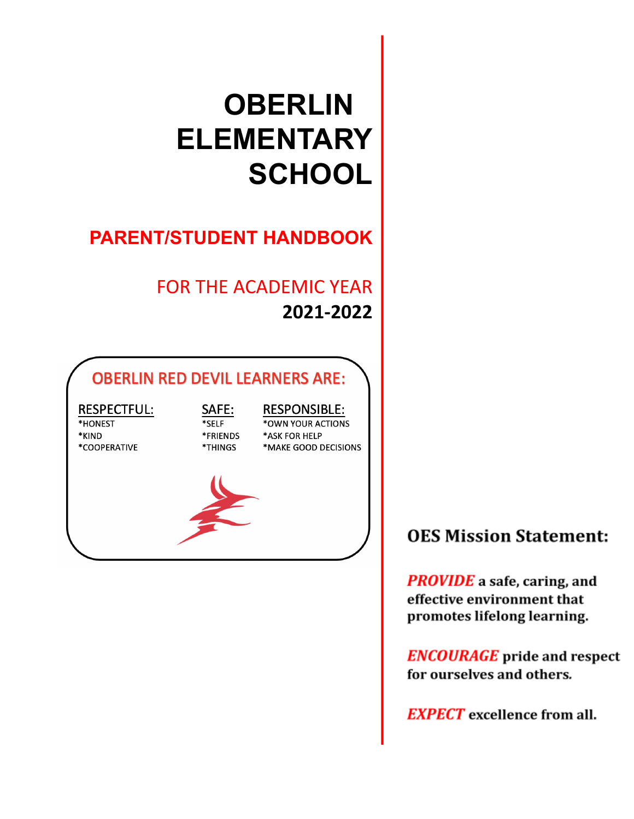# **OBERLIN ELEMENTARY SCHOOL**

# **PARENT/STUDENT HANDBOOK**

# FOR THE ACADEMIC YEAR **2021-2022**

# **OBERLIN RED DEVIL LEARNERS ARE:**

#### **RESPECTFUL:** \*HONEST

\*KIND \*COOPERATIVE

#### SAFE: \*SELF \*FRIENDS \*THINGS

**RESPONSIBLE:** \*OWN YOUR ACTIONS \*ASK FOR HELP \*MAKE GOOD DECISIONS



# **OES Mission Statement:**

**PROVIDE** a safe, caring, and effective environment that promotes lifelong learning.

**ENCOURAGE** pride and respect for ourselves and others.

**EXPECT** excellence from all.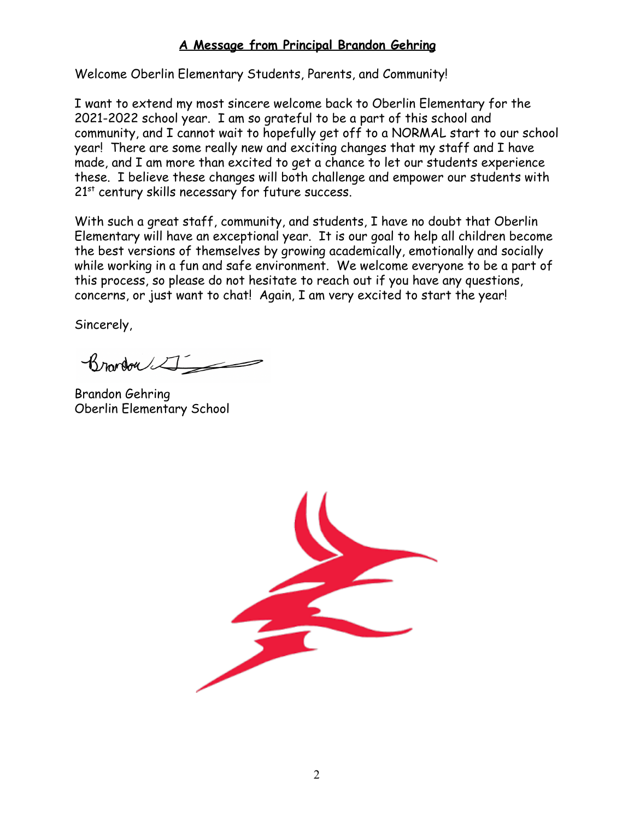#### **A Message from Principal Brandon Gehring**

Welcome Oberlin Elementary Students, Parents, and Community!

I want to extend my most sincere welcome back to Oberlin Elementary for the 2021-2022 school year. I am so grateful to be a part of this school and community, and I cannot wait to hopefully get off to a NORMAL start to our school year! There are some really new and exciting changes that my staff and I have made, and I am more than excited to get a chance to let our students experience these. I believe these changes will both challenge and empower our students with  $21<sup>st</sup>$  century skills necessary for future success.

With such a great staff, community, and students, I have no doubt that Oberlin Elementary will have an exceptional year. It is our goal to help all children become the best versions of themselves by growing academically, emotionally and socially while working in a fun and safe environment. We welcome everyone to be a part of this process, so please do not hesitate to reach out if you have any questions, concerns, or just want to chat! Again, I am very excited to start the year!

Sincerely,

Brondon

Brandon Gehring Oberlin Elementary School

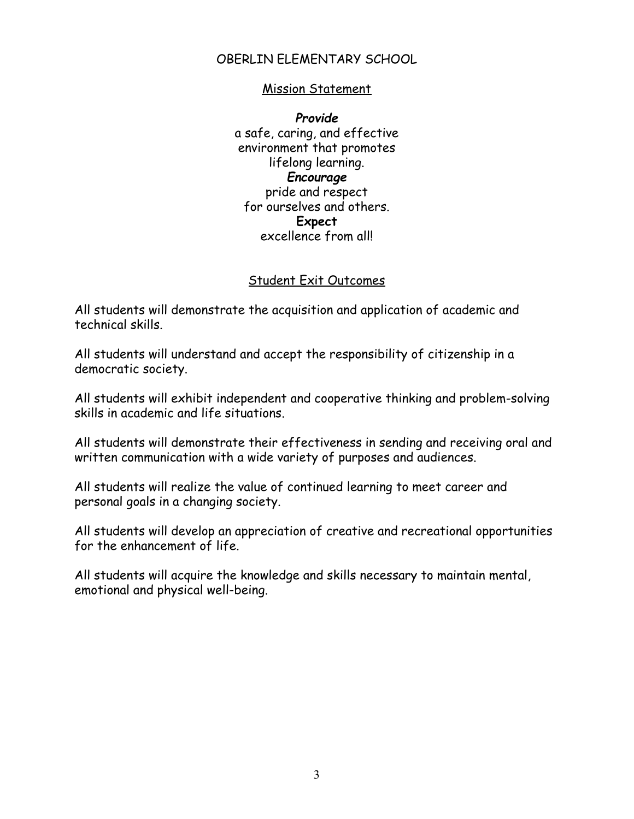#### OBERLIN ELEMENTARY SCHOOL

#### Mission Statement

*Provide* a safe, caring, and effective environment that promotes lifelong learning. *Encourage* pride and respect for ourselves and others. **Expect** excellence from all!

#### Student Exit Outcomes

All students will demonstrate the acquisition and application of academic and technical skills.

All students will understand and accept the responsibility of citizenship in a democratic society.

All students will exhibit independent and cooperative thinking and problem-solving skills in academic and life situations.

All students will demonstrate their effectiveness in sending and receiving oral and written communication with a wide variety of purposes and audiences.

All students will realize the value of continued learning to meet career and personal goals in a changing society.

All students will develop an appreciation of creative and recreational opportunities for the enhancement of life.

All students will acquire the knowledge and skills necessary to maintain mental, emotional and physical well-being.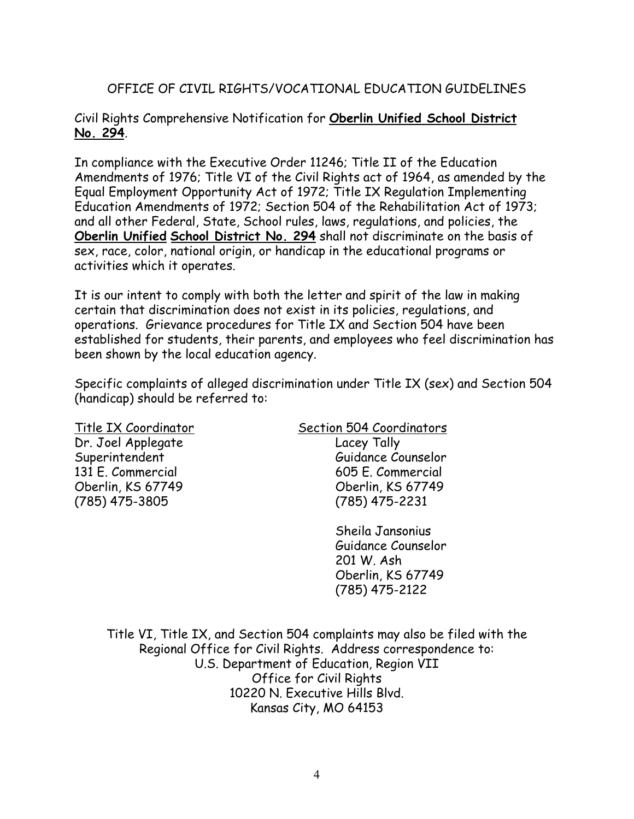#### OFFICE OF CIVIL RIGHTS/VOCATIONAL EDUCATION GUIDELINES

#### Civil Rights Comprehensive Notification for **Oberlin Unified School District No. 294**.

In compliance with the Executive Order 11246; Title II of the Education Amendments of 1976; Title VI of the Civil Rights act of 1964, as amended by the Equal Employment Opportunity Act of 1972; Title IX Regulation Implementing Education Amendments of 1972; Section 504 of the Rehabilitation Act of 1973; and all other Federal, State, School rules, laws, regulations, and policies, the **Oberlin Unified School District No. 294** shall not discriminate on the basis of sex, race, color, national origin, or handicap in the educational programs or activities which it operates.

It is our intent to comply with both the letter and spirit of the law in making certain that discrimination does not exist in its policies, regulations, and operations. Grievance procedures for Title IX and Section 504 have been established for students, their parents, and employees who feel discrimination has been shown by the local education agency.

Specific complaints of alleged discrimination under Title IX (sex) and Section 504 (handicap) should be referred to:

Dr. Joel Applegate Lacey Tally

Title IX Coordinator Section 504 Coordinators Superintendent Guidance Counselor 131 E. Commercial 605 E. Commercial Oberlin, KS 67749 Oberlin, KS 67749 (785) 475-3805 (785) 475-2231

> Sheila Jansonius Guidance Counselor 201 W. Ash Oberlin, KS 67749 (785) 475-2122

Title VI, Title IX, and Section 504 complaints may also be filed with the Regional Office for Civil Rights. Address correspondence to: U.S. Department of Education, Region VII Office for Civil Rights 10220 N. Executive Hills Blvd. Kansas City, MO 64153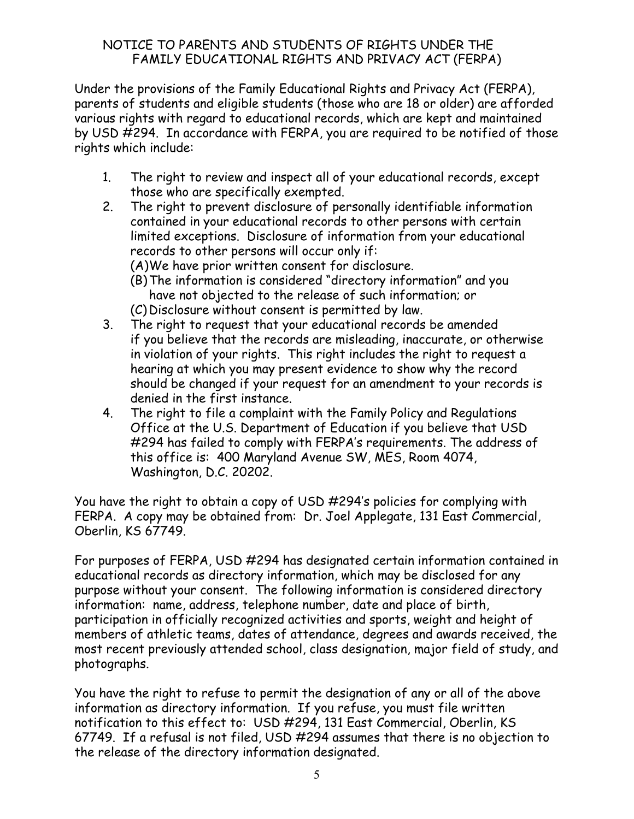#### NOTICE TO PARENTS AND STUDENTS OF RIGHTS UNDER THE FAMILY EDUCATIONAL RIGHTS AND PRIVACY ACT (FERPA)

Under the provisions of the Family Educational Rights and Privacy Act (FERPA), parents of students and eligible students (those who are 18 or older) are afforded various rights with regard to educational records, which are kept and maintained by USD #294. In accordance with FERPA, you are required to be notified of those rights which include:

- 1. The right to review and inspect all of your educational records, except those who are specifically exempted.
- 2. The right to prevent disclosure of personally identifiable information contained in your educational records to other persons with certain limited exceptions. Disclosure of information from your educational records to other persons will occur only if:

(A)We have prior written consent for disclosure.

- (B)The information is considered "directory information" and you have not objected to the release of such information; or
- (C) Disclosure without consent is permitted by law.
- 3. The right to request that your educational records be amended if you believe that the records are misleading, inaccurate, or otherwise in violation of your rights. This right includes the right to request a hearing at which you may present evidence to show why the record should be changed if your request for an amendment to your records is denied in the first instance.
- 4. The right to file a complaint with the Family Policy and Regulations Office at the U.S. Department of Education if you believe that USD #294 has failed to comply with FERPA's requirements. The address of this office is: 400 Maryland Avenue SW, MES, Room 4074, Washington, D.C. 20202.

You have the right to obtain a copy of USD #294's policies for complying with FERPA. A copy may be obtained from: Dr. Joel Applegate, 131 East Commercial, Oberlin, KS 67749.

For purposes of FERPA, USD #294 has designated certain information contained in educational records as directory information, which may be disclosed for any purpose without your consent. The following information is considered directory information: name, address, telephone number, date and place of birth, participation in officially recognized activities and sports, weight and height of members of athletic teams, dates of attendance, degrees and awards received, the most recent previously attended school, class designation, major field of study, and photographs.

You have the right to refuse to permit the designation of any or all of the above information as directory information. If you refuse, you must file written notification to this effect to: USD #294, 131 East Commercial, Oberlin, KS 67749. If a refusal is not filed, USD #294 assumes that there is no objection to the release of the directory information designated.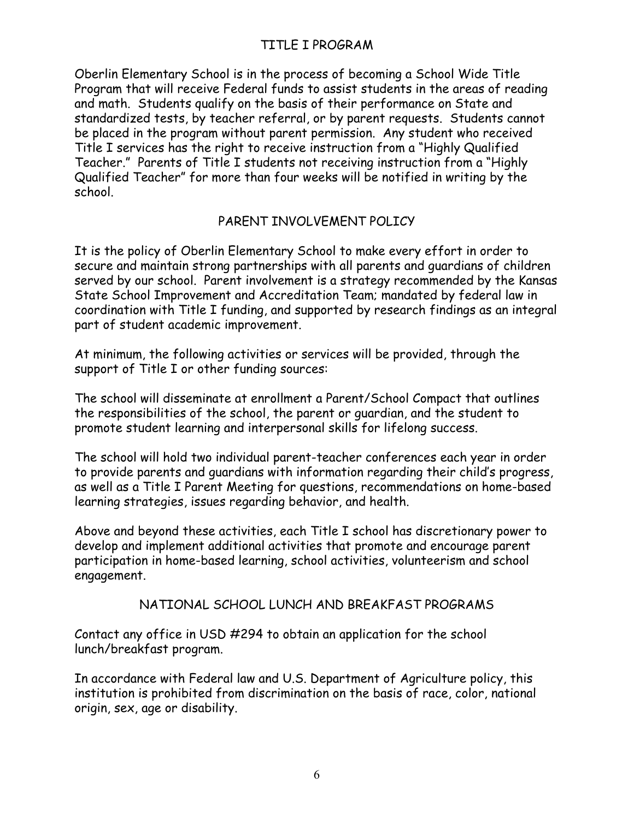#### TITLE I PROGRAM

Oberlin Elementary School is in the process of becoming a School Wide Title Program that will receive Federal funds to assist students in the areas of reading and math. Students qualify on the basis of their performance on State and standardized tests, by teacher referral, or by parent requests. Students cannot be placed in the program without parent permission. Any student who received Title I services has the right to receive instruction from a "Highly Qualified Teacher." Parents of Title I students not receiving instruction from a "Highly Qualified Teacher" for more than four weeks will be notified in writing by the school.

#### PARENT INVOLVEMENT POLICY

It is the policy of Oberlin Elementary School to make every effort in order to secure and maintain strong partnerships with all parents and guardians of children served by our school. Parent involvement is a strategy recommended by the Kansas State School Improvement and Accreditation Team; mandated by federal law in coordination with Title I funding, and supported by research findings as an integral part of student academic improvement.

At minimum, the following activities or services will be provided, through the support of Title I or other funding sources:

The school will disseminate at enrollment a Parent/School Compact that outlines the responsibilities of the school, the parent or guardian, and the student to promote student learning and interpersonal skills for lifelong success.

The school will hold two individual parent-teacher conferences each year in order to provide parents and guardians with information regarding their child's progress, as well as a Title I Parent Meeting for questions, recommendations on home-based learning strategies, issues regarding behavior, and health.

Above and beyond these activities, each Title I school has discretionary power to develop and implement additional activities that promote and encourage parent participation in home-based learning, school activities, volunteerism and school engagement.

#### NATIONAL SCHOOL LUNCH AND BREAKFAST PROGRAMS

Contact any office in USD #294 to obtain an application for the school lunch/breakfast program.

In accordance with Federal law and U.S. Department of Agriculture policy, this institution is prohibited from discrimination on the basis of race, color, national origin, sex, age or disability.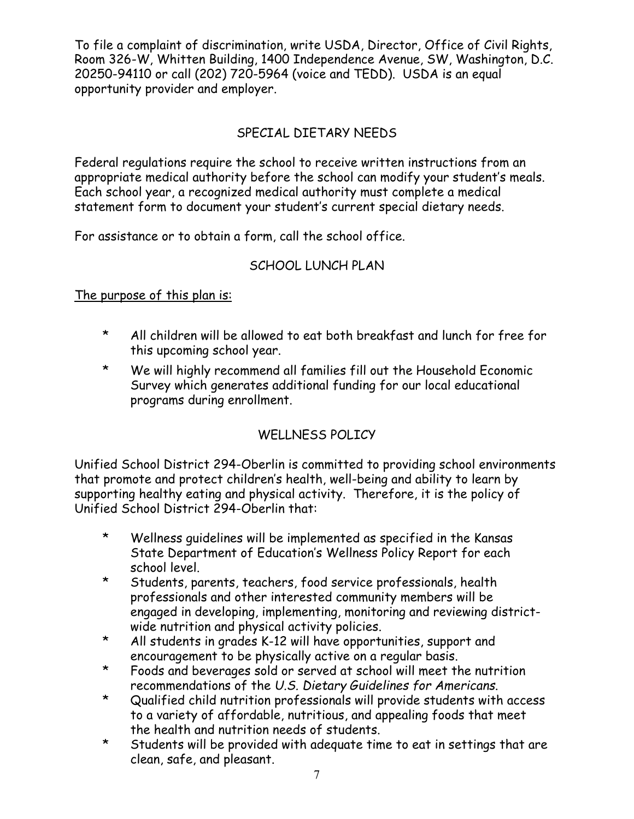To file a complaint of discrimination, write USDA, Director, Office of Civil Rights, Room 326-W, Whitten Building, 1400 Independence Avenue, SW, Washington, D.C. 20250-94110 or call (202) 720-5964 (voice and TEDD). USDA is an equal opportunity provider and employer.

# SPECIAL DIETARY NEEDS

Federal regulations require the school to receive written instructions from an appropriate medical authority before the school can modify your student's meals. Each school year, a recognized medical authority must complete a medical statement form to document your student's current special dietary needs.

For assistance or to obtain a form, call the school office.

### SCHOOL LUNCH PLAN

#### The purpose of this plan is:

- \* All children will be allowed to eat both breakfast and lunch for free for this upcoming school year.
- \* We will highly recommend all families fill out the Household Economic Survey which generates additional funding for our local educational programs during enrollment.

# WELLNESS POLICY

Unified School District 294-Oberlin is committed to providing school environments that promote and protect children's health, well-being and ability to learn by supporting healthy eating and physical activity. Therefore, it is the policy of Unified School District 294-Oberlin that:

- \* Wellness guidelines will be implemented as specified in the Kansas State Department of Education's Wellness Policy Report for each school level.
- \* Students, parents, teachers, food service professionals, health professionals and other interested community members will be engaged in developing, implementing, monitoring and reviewing districtwide nutrition and physical activity policies.
- \* All students in grades K-12 will have opportunities, support and encouragement to be physically active on a regular basis.
- \* Foods and beverages sold or served at school will meet the nutrition recommendations of the *U.S. Dietary Guidelines for Americans*.
- \* Qualified child nutrition professionals will provide students with access to a variety of affordable, nutritious, and appealing foods that meet the health and nutrition needs of students.
- \* Students will be provided with adequate time to eat in settings that are clean, safe, and pleasant.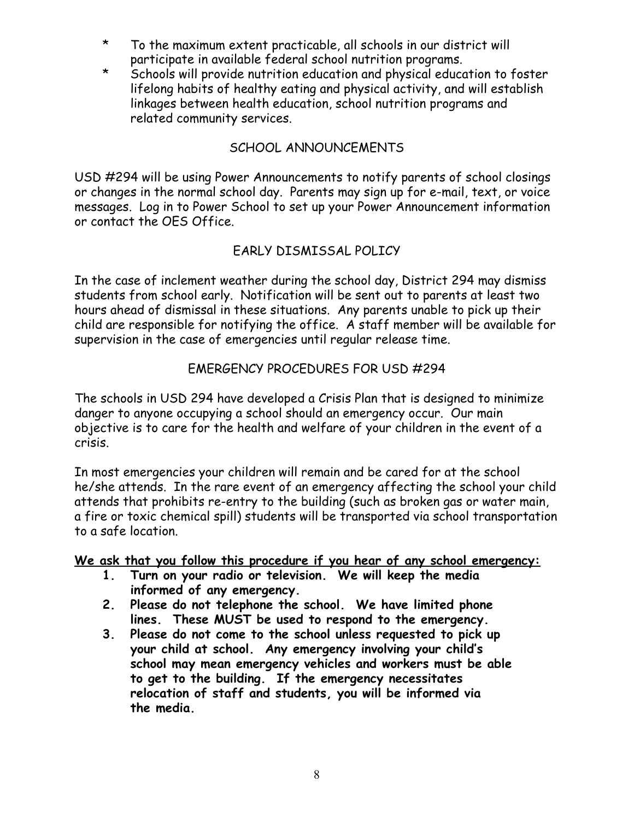- \* To the maximum extent practicable, all schools in our district will participate in available federal school nutrition programs.
- \* Schools will provide nutrition education and physical education to foster lifelong habits of healthy eating and physical activity, and will establish linkages between health education, school nutrition programs and related community services.

### SCHOOL ANNOUNCEMENTS

USD #294 will be using Power Announcements to notify parents of school closings or changes in the normal school day. Parents may sign up for e-mail, text, or voice messages. Log in to Power School to set up your Power Announcement information or contact the OES Office.

#### EARLY DISMISSAL POLICY

In the case of inclement weather during the school day, District 294 may dismiss students from school early. Notification will be sent out to parents at least two hours ahead of dismissal in these situations. Any parents unable to pick up their child are responsible for notifying the office. A staff member will be available for supervision in the case of emergencies until regular release time.

#### EMERGENCY PROCEDURES FOR USD #294

The schools in USD 294 have developed a Crisis Plan that is designed to minimize danger to anyone occupying a school should an emergency occur. Our main objective is to care for the health and welfare of your children in the event of a crisis.

In most emergencies your children will remain and be cared for at the school he/she attends. In the rare event of an emergency affecting the school your child attends that prohibits re-entry to the building (such as broken gas or water main, a fire or toxic chemical spill) students will be transported via school transportation to a safe location.

**We ask that you follow this procedure if you hear of any school emergency:**

- **1. Turn on your radio or television. We will keep the media informed of any emergency.**
- **2. Please do not telephone the school. We have limited phone lines. These MUST be used to respond to the emergency.**
- **3. Please do not come to the school unless requested to pick up your child at school. Any emergency involving your child's school may mean emergency vehicles and workers must be able to get to the building. If the emergency necessitates relocation of staff and students, you will be informed via the media.**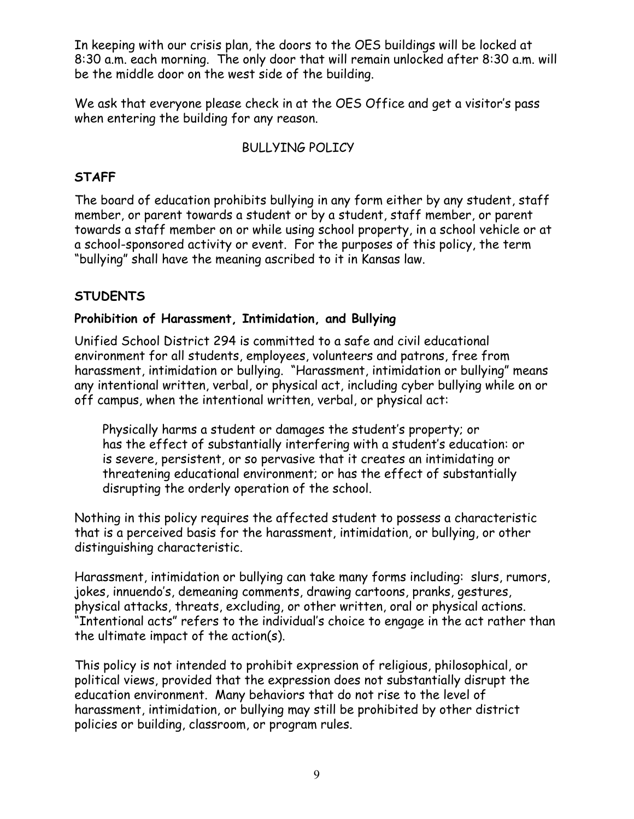In keeping with our crisis plan, the doors to the OES buildings will be locked at 8:30 a.m. each morning. The only door that will remain unlocked after 8:30 a.m. will be the middle door on the west side of the building.

We ask that everyone please check in at the OES Office and get a visitor's pass when entering the building for any reason.

#### BULLYING POLICY

#### **STAFF**

The board of education prohibits bullying in any form either by any student, staff member, or parent towards a student or by a student, staff member, or parent towards a staff member on or while using school property, in a school vehicle or at a school-sponsored activity or event. For the purposes of this policy, the term "bullying" shall have the meaning ascribed to it in Kansas law.

### **STUDENTS**

#### **Prohibition of Harassment, Intimidation, and Bullying**

Unified School District 294 is committed to a safe and civil educational environment for all students, employees, volunteers and patrons, free from harassment, intimidation or bullying. "Harassment, intimidation or bullying" means any intentional written, verbal, or physical act, including cyber bullying while on or off campus, when the intentional written, verbal, or physical act:

Physically harms a student or damages the student's property; or has the effect of substantially interfering with a student's education: or is severe, persistent, or so pervasive that it creates an intimidating or threatening educational environment; or has the effect of substantially disrupting the orderly operation of the school.

Nothing in this policy requires the affected student to possess a characteristic that is a perceived basis for the harassment, intimidation, or bullying, or other distinguishing characteristic.

Harassment, intimidation or bullying can take many forms including: slurs, rumors, jokes, innuendo's, demeaning comments, drawing cartoons, pranks, gestures, physical attacks, threats, excluding, or other written, oral or physical actions. "Intentional acts" refers to the individual's choice to engage in the act rather than the ultimate impact of the action(s).

This policy is not intended to prohibit expression of religious, philosophical, or political views, provided that the expression does not substantially disrupt the education environment. Many behaviors that do not rise to the level of harassment, intimidation, or bullying may still be prohibited by other district policies or building, classroom, or program rules.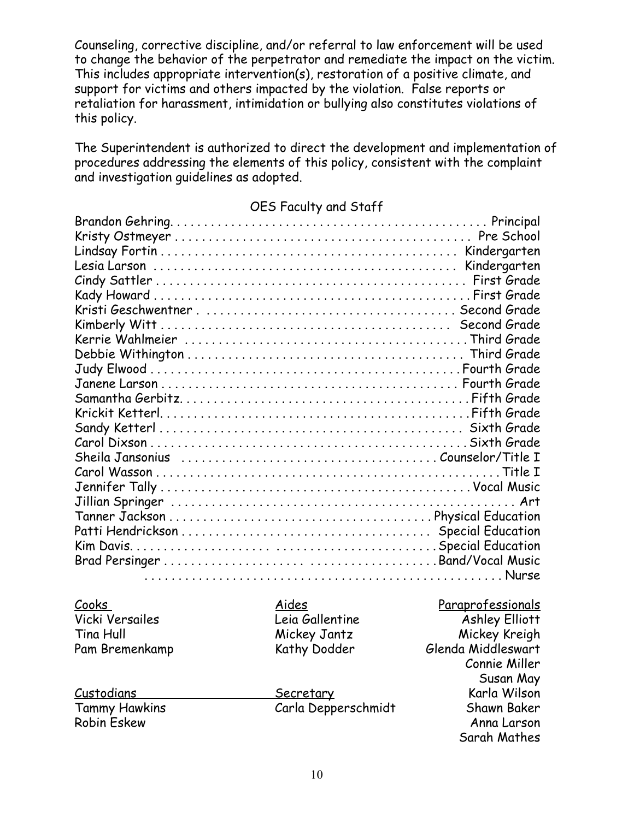Counseling, corrective discipline, and/or referral to law enforcement will be used to change the behavior of the perpetrator and remediate the impact on the victim. This includes appropriate intervention(s), restoration of a positive climate, and support for victims and others impacted by the violation. False reports or retaliation for harassment, intimidation or bullying also constitutes violations of this policy.

The Superintendent is authorized to direct the development and implementation of procedures addressing the elements of this policy, consistent with the complaint and investigation guidelines as adopted.

#### OES Faculty and Staff

| <u>Cooks</u>           | Aides               | Paraprofessionals     |
|------------------------|---------------------|-----------------------|
| <b>Vicki Versailes</b> | Leia Gallentine     | <b>Ashley Elliott</b> |
| Tina Hull              | Mickey Jantz        | Mickey Kreigh         |
| Pam Bremenkamp         | Kathy Dodder        | Glenda Middleswart    |
|                        |                     | Connie Miller         |
|                        |                     | Susan May             |
| <u>Custodians</u>      | Secretary           | Karla Wilson          |
| <b>Tammy Hawkins</b>   | Carla Depperschmidt | Shawn Baker           |
| Robin Eskew            |                     | Anna Larson           |
|                        |                     | Sarah Mathes          |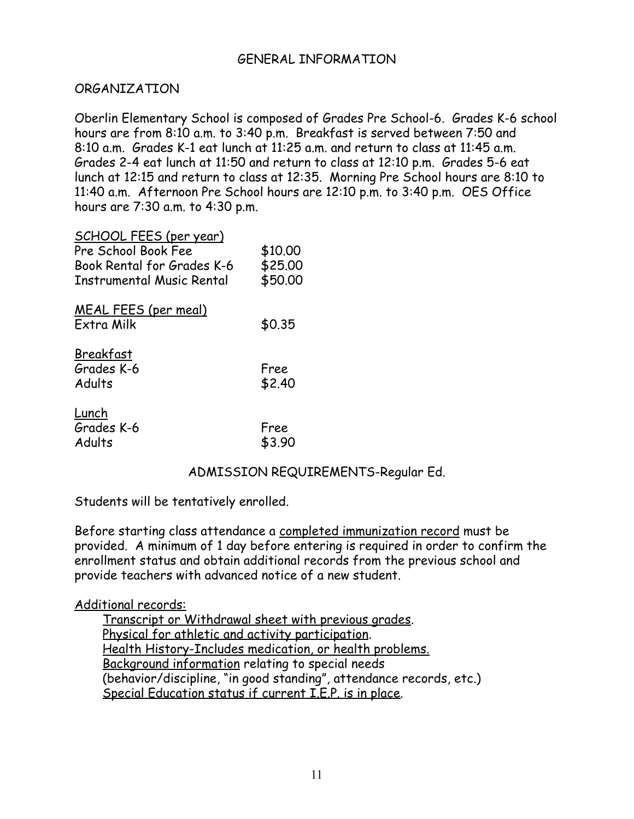#### GENERAL INFORMATION

#### ORGANIZATION

Oberlin Elementary School is composed of Grades Pre School-6. Grades K-6 school hours are from 8:10 a.m. to 3:40 p.m. Breakfast is served between 7:50 and 8:10 a.m. Grades K-1 eat lunch at 11:25 a.m. and return to class at 11:45 a.m. Grades 2-4 eat lunch at 11:50 and return to class at 12:10 p.m. Grades 5-6 eat lunch at 12:15 and return to class at 12:35. Morning Pre School hours are 8:10 to 11:40 a.m. Afternoon Pre School hours are 12:10 p.m. to 3:40 p.m. OES Office hours are 7:30 a.m. to 4:30 p.m.

| <u>SCHOOL FEES (per year)</u><br>Pre School Book Fee<br>Book Rental for Grades K-6<br>Instrumental Music Rental | \$10,00<br>\$25.00<br>\$50.00 |
|-----------------------------------------------------------------------------------------------------------------|-------------------------------|
| <b>MEAL FEES (per meal)</b><br><b>Fxtra Milk</b>                                                                | \$0.35                        |
| Breakfast<br>Grades K-6<br>Adults                                                                               | Free<br>\$2.40                |
| Lunch<br>Grades K-6<br>Adults                                                                                   | Free<br>\$3.90                |

#### ADMISSION REQUIREMENTS-Regular Ed.

Students will be tentatively enrolled.

Before starting class attendance a completed immunization record must be provided. A minimum of 1 day before entering is required in order to confirm the enrollment status and obtain additional records from the previous school and provide teachers with advanced notice of a new student.

#### Additional records:

Transcript or Withdrawal sheet with previous grades. Physical for athletic and activity participation. Health History-Includes medication, or health problems. Background information relating to special needs (behavior/discipline, "in good standing", attendance records, etc.) Special Education status if current I.E.P. is in place.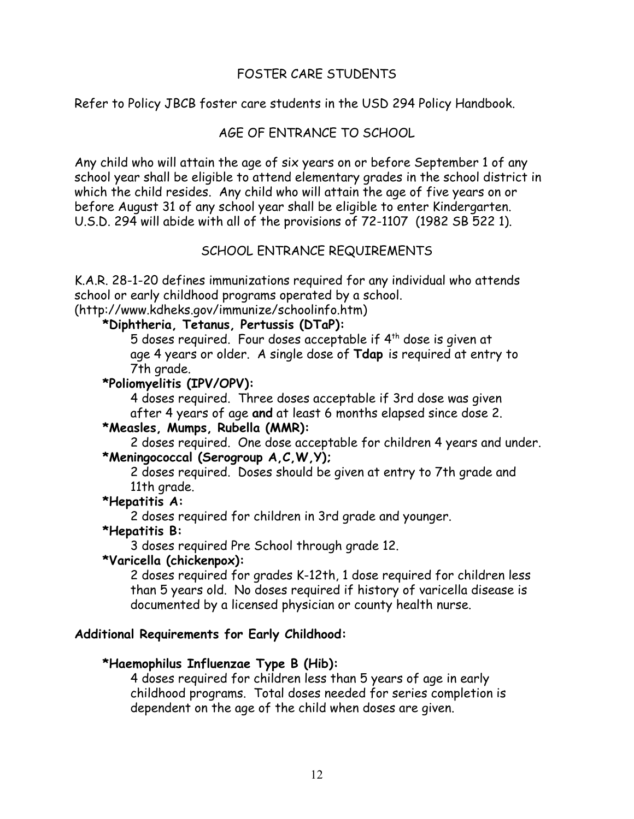#### FOSTER CARE STUDENTS

Refer to Policy JBCB foster care students in the USD 294 Policy Handbook.

#### AGE OF ENTRANCE TO SCHOOL

Any child who will attain the age of six years on or before September 1 of any school year shall be eligible to attend elementary grades in the school district in which the child resides. Any child who will attain the age of five years on or before August 31 of any school year shall be eligible to enter Kindergarten. U.S.D. 294 will abide with all of the provisions of 72-1107 (1982 SB 522 1).

#### SCHOOL ENTRANCE REQUIREMENTS

K.A.R. 28-1-20 defines immunizations required for any individual who attends school or early childhood programs operated by a school.

(http://www.kdheks.gov/immunize/schoolinfo.htm)

#### **\*Diphtheria, Tetanus, Pertussis (DTaP):**

5 doses required. Four doses acceptable if 4th dose is given at age 4 years or older. A single dose of **Tdap** is required at entry to 7th grade.

#### **\*Poliomyelitis (IPV/OPV):**

4 doses required. Three doses acceptable if 3rd dose was given after 4 years of age **and** at least 6 months elapsed since dose 2.

#### **\*Measles, Mumps, Rubella (MMR):**

2 doses required. One dose acceptable for children 4 years and under. **\*Meningococcal (Serogroup A,C,W,Y);**

2 doses required. Doses should be given at entry to 7th grade and 11th grade.

#### **\*Hepatitis A:**

2 doses required for children in 3rd grade and younger.

#### **\*Hepatitis B:**

3 doses required Pre School through grade 12.

#### **\*Varicella (chickenpox):**

2 doses required for grades K-12th, 1 dose required for children less than 5 years old. No doses required if history of varicella disease is documented by a licensed physician or county health nurse.

#### **Additional Requirements for Early Childhood:**

#### **\*Haemophilus Influenzae Type B (Hib):**

4 doses required for children less than 5 years of age in early childhood programs. Total doses needed for series completion is dependent on the age of the child when doses are given.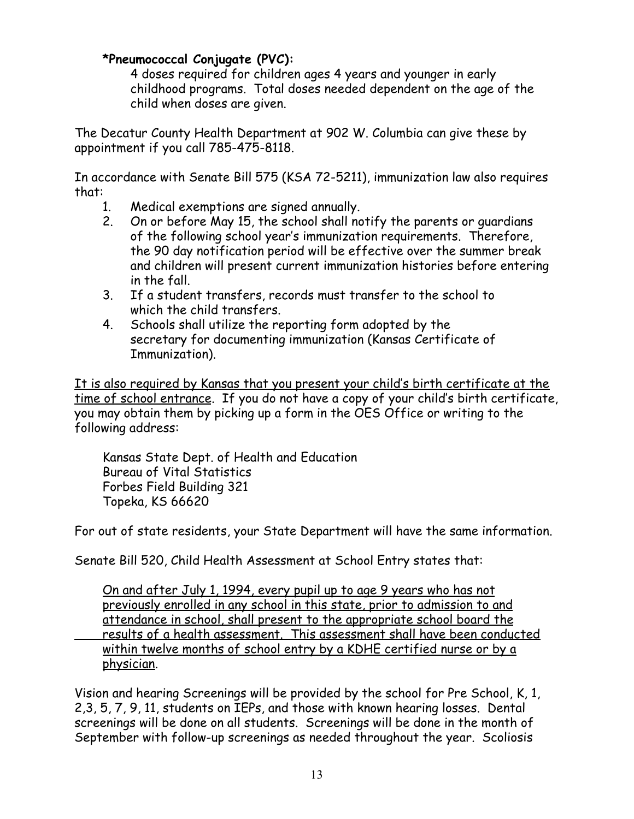#### **\*Pneumococcal Conjugate (PVC):**

4 doses required for children ages 4 years and younger in early childhood programs. Total doses needed dependent on the age of the child when doses are given.

The Decatur County Health Department at 902 W. Columbia can give these by appointment if you call 785-475-8118.

In accordance with Senate Bill 575 (KSA 72-5211), immunization law also requires that:

- 1. Medical exemptions are signed annually.
- 2. On or before May 15, the school shall notify the parents or guardians of the following school year's immunization requirements. Therefore, the 90 day notification period will be effective over the summer break and children will present current immunization histories before entering in the fall.
- 3. If a student transfers, records must transfer to the school to which the child transfers.
- 4. Schools shall utilize the reporting form adopted by the secretary for documenting immunization (Kansas Certificate of Immunization).

It is also required by Kansas that you present your child's birth certificate at the time of school entrance. If you do not have a copy of your child's birth certificate, you may obtain them by picking up a form in the OES Office or writing to the following address:

Kansas State Dept. of Health and Education Bureau of Vital Statistics Forbes Field Building 321 Topeka, KS 66620

For out of state residents, your State Department will have the same information.

Senate Bill 520, Child Health Assessment at School Entry states that:

On and after July 1, 1994, every pupil up to age 9 years who has not previously enrolled in any school in this state, prior to admission to and attendance in school, shall present to the appropriate school board the results of a health assessment. This assessment shall have been conducted within twelve months of school entry by a KDHE certified nurse or by a physician.

Vision and hearing Screenings will be provided by the school for Pre School, K, 1, 2,3, 5, 7, 9, 11, students on IEPs, and those with known hearing losses. Dental screenings will be done on all students. Screenings will be done in the month of September with follow-up screenings as needed throughout the year. Scoliosis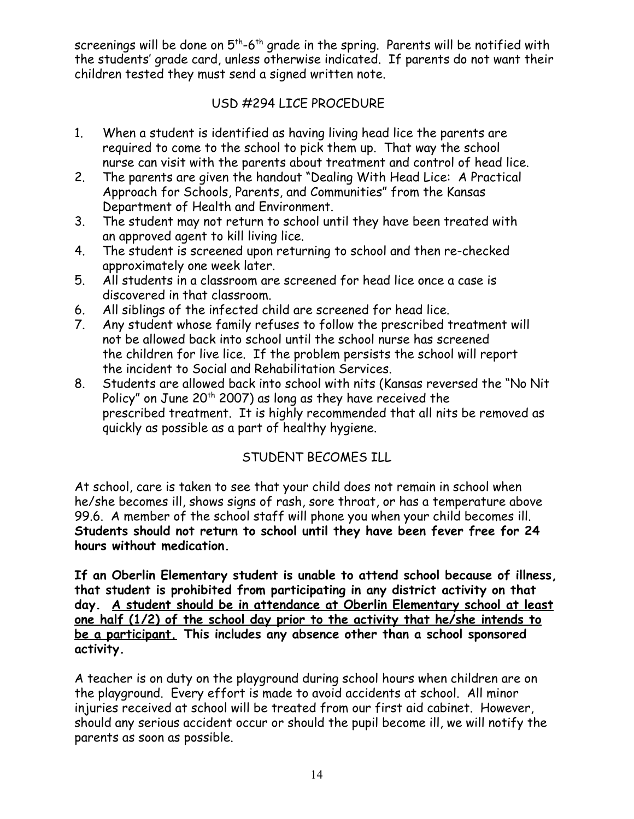screenings will be done on  $5<sup>th</sup>$ -6<sup>th</sup> grade in the spring. Parents will be notified with the students' grade card, unless otherwise indicated. If parents do not want their children tested they must send a signed written note.

#### USD #294 LICE PROCEDURE

- 1. When a student is identified as having living head lice the parents are required to come to the school to pick them up. That way the school nurse can visit with the parents about treatment and control of head lice.
- 2. The parents are given the handout "Dealing With Head Lice: A Practical Approach for Schools, Parents, and Communities" from the Kansas Department of Health and Environment.
- 3. The student may not return to school until they have been treated with an approved agent to kill living lice.
- 4. The student is screened upon returning to school and then re-checked approximately one week later.
- 5. All students in a classroom are screened for head lice once a case is discovered in that classroom.
- 6. All siblings of the infected child are screened for head lice.
- 7. Any student whose family refuses to follow the prescribed treatment will not be allowed back into school until the school nurse has screened the children for live lice. If the problem persists the school will report the incident to Social and Rehabilitation Services.
- 8. Students are allowed back into school with nits (Kansas reversed the "No Nit Policy" on June  $20<sup>th</sup> 2007$ ) as long as they have received the prescribed treatment. It is highly recommended that all nits be removed as quickly as possible as a part of healthy hygiene.

# STUDENT BECOMES ILL

At school, care is taken to see that your child does not remain in school when he/she becomes ill, shows signs of rash, sore throat, or has a temperature above 99.6. A member of the school staff will phone you when your child becomes ill. **Students should not return to school until they have been fever free for 24 hours without medication.**

**If an Oberlin Elementary student is unable to attend school because of illness, that student is prohibited from participating in any district activity on that day. A student should be in attendance at Oberlin Elementary school at least one half (1/2) of the school day prior to the activity that he/she intends to be a participant. This includes any absence other than a school sponsored activity.**

A teacher is on duty on the playground during school hours when children are on the playground. Every effort is made to avoid accidents at school. All minor injuries received at school will be treated from our first aid cabinet. However, should any serious accident occur or should the pupil become ill, we will notify the parents as soon as possible.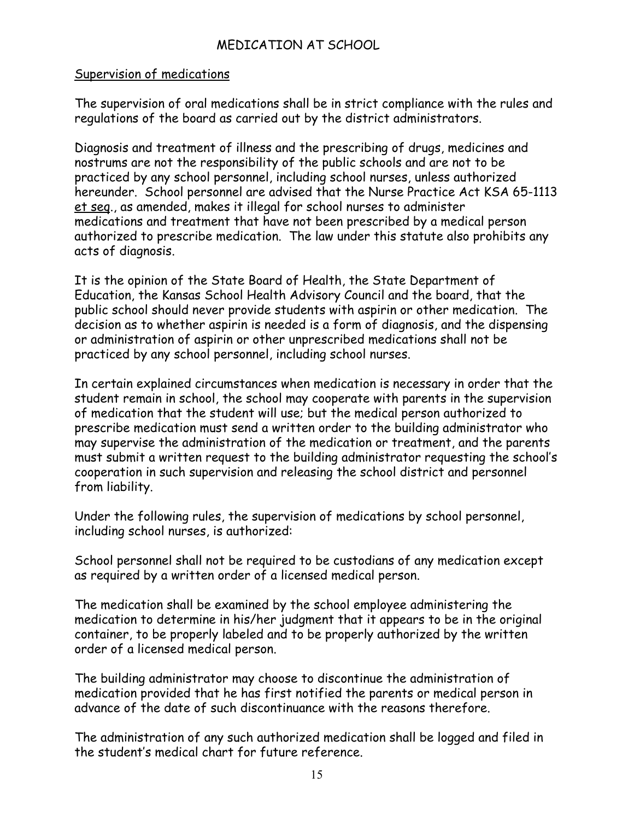#### MEDICATION AT SCHOOL

#### Supervision of medications

The supervision of oral medications shall be in strict compliance with the rules and regulations of the board as carried out by the district administrators.

Diagnosis and treatment of illness and the prescribing of drugs, medicines and nostrums are not the responsibility of the public schools and are not to be practiced by any school personnel, including school nurses, unless authorized hereunder. School personnel are advised that the Nurse Practice Act KSA 65-1113 et seq., as amended, makes it illegal for school nurses to administer medications and treatment that have not been prescribed by a medical person authorized to prescribe medication. The law under this statute also prohibits any acts of diagnosis.

It is the opinion of the State Board of Health, the State Department of Education, the Kansas School Health Advisory Council and the board, that the public school should never provide students with aspirin or other medication. The decision as to whether aspirin is needed is a form of diagnosis, and the dispensing or administration of aspirin or other unprescribed medications shall not be practiced by any school personnel, including school nurses.

In certain explained circumstances when medication is necessary in order that the student remain in school, the school may cooperate with parents in the supervision of medication that the student will use; but the medical person authorized to prescribe medication must send a written order to the building administrator who may supervise the administration of the medication or treatment, and the parents must submit a written request to the building administrator requesting the school's cooperation in such supervision and releasing the school district and personnel from liability.

Under the following rules, the supervision of medications by school personnel, including school nurses, is authorized:

School personnel shall not be required to be custodians of any medication except as required by a written order of a licensed medical person.

The medication shall be examined by the school employee administering the medication to determine in his/her judgment that it appears to be in the original container, to be properly labeled and to be properly authorized by the written order of a licensed medical person.

The building administrator may choose to discontinue the administration of medication provided that he has first notified the parents or medical person in advance of the date of such discontinuance with the reasons therefore.

The administration of any such authorized medication shall be logged and filed in the student's medical chart for future reference.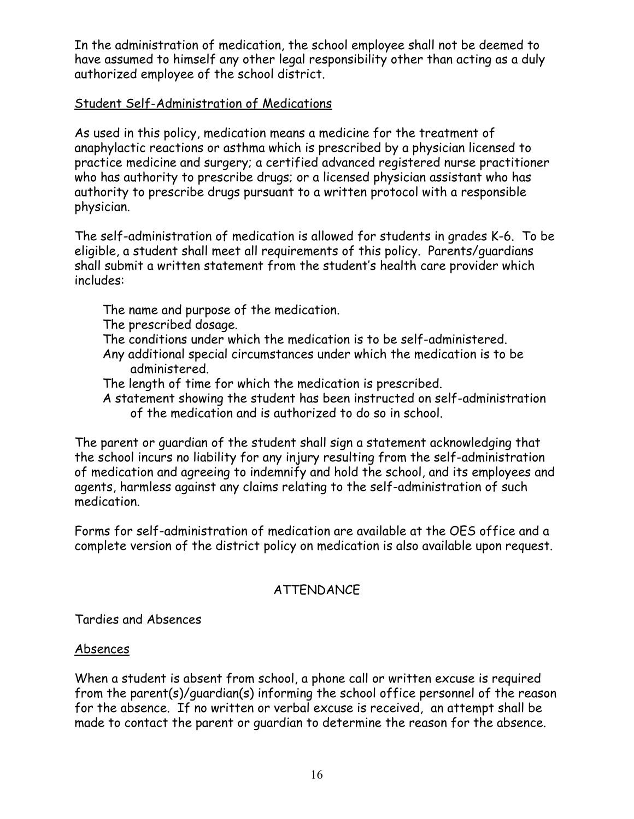In the administration of medication, the school employee shall not be deemed to have assumed to himself any other legal responsibility other than acting as a duly authorized employee of the school district.

#### Student Self-Administration of Medications

As used in this policy, medication means a medicine for the treatment of anaphylactic reactions or asthma which is prescribed by a physician licensed to practice medicine and surgery; a certified advanced registered nurse practitioner who has authority to prescribe drugs; or a licensed physician assistant who has authority to prescribe drugs pursuant to a written protocol with a responsible physician.

The self-administration of medication is allowed for students in grades K-6. To be eligible, a student shall meet all requirements of this policy. Parents/guardians shall submit a written statement from the student's health care provider which includes:

- The name and purpose of the medication.
- The prescribed dosage.
- The conditions under which the medication is to be self-administered. Any additional special circumstances under which the medication is to be administered.
- The length of time for which the medication is prescribed.
- A statement showing the student has been instructed on self-administration of the medication and is authorized to do so in school.

The parent or guardian of the student shall sign a statement acknowledging that the school incurs no liability for any injury resulting from the self-administration of medication and agreeing to indemnify and hold the school, and its employees and agents, harmless against any claims relating to the self-administration of such medication.

Forms for self-administration of medication are available at the OES office and a complete version of the district policy on medication is also available upon request.

#### ATTENDANCE

Tardies and Absences

#### Absences

When a student is absent from school, a phone call or written excuse is required from the parent(s)/guardian(s) informing the school office personnel of the reason for the absence. If no written or verbal excuse is received, an attempt shall be made to contact the parent or guardian to determine the reason for the absence.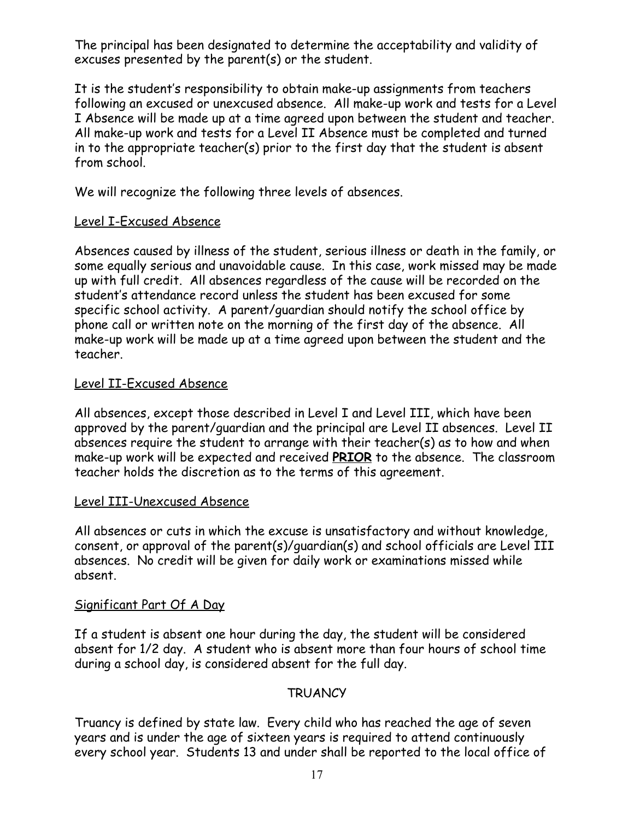The principal has been designated to determine the acceptability and validity of excuses presented by the parent(s) or the student.

It is the student's responsibility to obtain make-up assignments from teachers following an excused or unexcused absence. All make-up work and tests for a Level I Absence will be made up at a time agreed upon between the student and teacher. All make-up work and tests for a Level II Absence must be completed and turned in to the appropriate teacher(s) prior to the first day that the student is absent from school.

We will recognize the following three levels of absences.

#### Level I-Excused Absence

Absences caused by illness of the student, serious illness or death in the family, or some equally serious and unavoidable cause. In this case, work missed may be made up with full credit. All absences regardless of the cause will be recorded on the student's attendance record unless the student has been excused for some specific school activity. A parent/guardian should notify the school office by phone call or written note on the morning of the first day of the absence. All make-up work will be made up at a time agreed upon between the student and the teacher.

#### Level II-Excused Absence

All absences, except those described in Level I and Level III, which have been approved by the parent/guardian and the principal are Level II absences. Level II absences require the student to arrange with their teacher(s) as to how and when make-up work will be expected and received **PRIOR** to the absence. The classroom teacher holds the discretion as to the terms of this agreement.

#### Level III-Unexcused Absence

All absences or cuts in which the excuse is unsatisfactory and without knowledge, consent, or approval of the parent(s)/guardian(s) and school officials are Level III absences. No credit will be given for daily work or examinations missed while absent.

#### Significant Part Of A Day

If a student is absent one hour during the day, the student will be considered absent for 1/2 day. A student who is absent more than four hours of school time during a school day, is considered absent for the full day.

#### **TRUANCY**

Truancy is defined by state law. Every child who has reached the age of seven years and is under the age of sixteen years is required to attend continuously every school year. Students 13 and under shall be reported to the local office of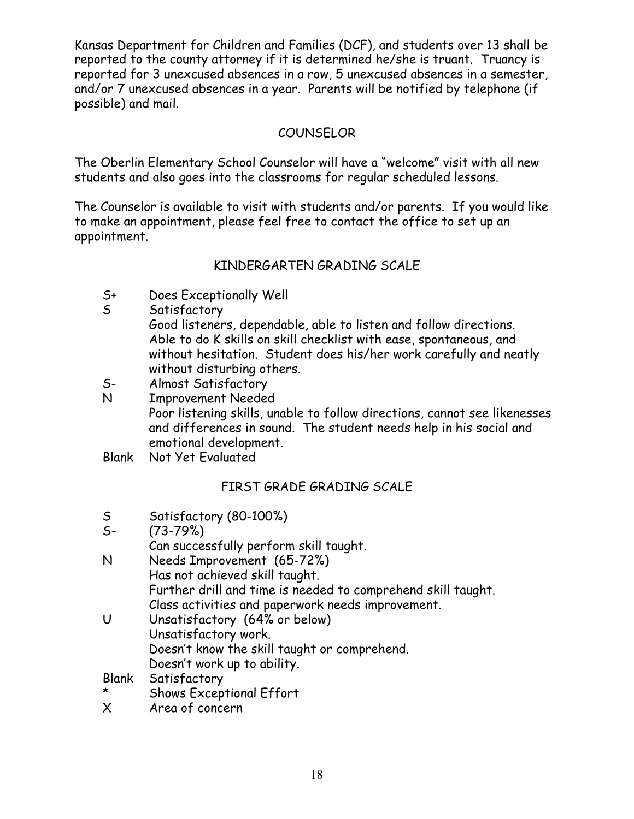Kansas Department for Children and Families (DCF), and students over 13 shall be reported to the county attorney if it is determined he/she is truant. Truancy is reported for 3 unexcused absences in a row, 5 unexcused absences in a semester, and/or 7 unexcused absences in a year. Parents will be notified by telephone (if possible) and mail.

#### **COUNSELOR**

The Oberlin Elementary School Counselor will have a "welcome" visit with all new students and also goes into the classrooms for regular scheduled lessons.

The Counselor is available to visit with students and/or parents. If you would like to make an appointment, please feel free to contact the office to set up an appointment.

# KINDERGARTEN GRADING SCALE

- S+ Does Exceptionally Well
- S Satisfactory
	- Good listeners, dependable, able to listen and follow directions. Able to do K skills on skill checklist with ease, spontaneous, and without hesitation. Student does his/her work carefully and neatly without disturbing others.
- S- Almost Satisfactory
- N Improvement Needed Poor listening skills, unable to follow directions, cannot see likenesses and differences in sound. The student needs help in his social and emotional development.
- Blank Not Yet Evaluated

# FIRST GRADE GRADING SCALE

- S Satisfactory (80-100%)
- S- (73-79%)
- Can successfully perform skill taught.
- N Needs Improvement (65-72%) Has not achieved skill taught. Further drill and time is needed to comprehend skill taught. Class activities and paperwork needs improvement.
- U Unsatisfactory (64% or below) Unsatisfactory work. Doesn't know the skill taught or comprehend. Doesn't work up to ability.
- Blank Satisfactory
- Shows Exceptional Effort
- X Area of concern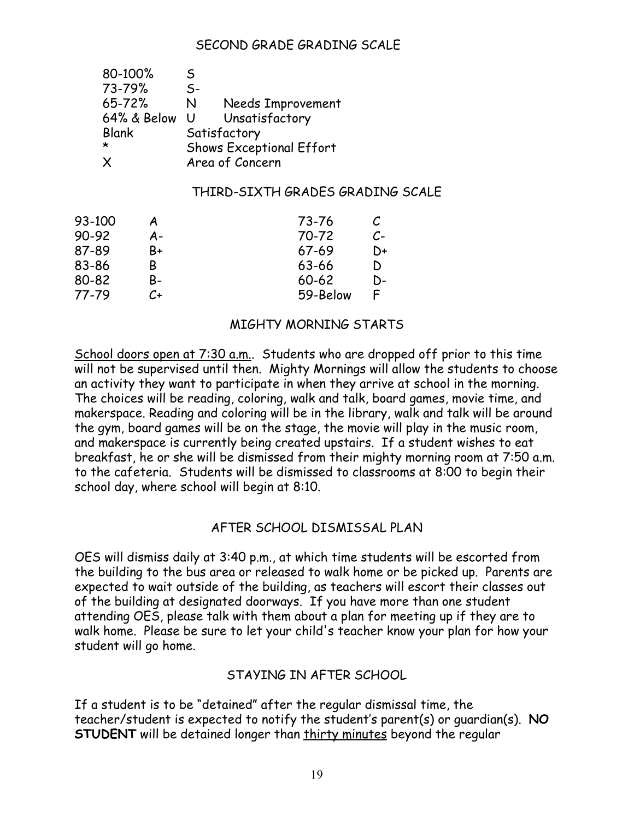#### SECOND GRADE GRADING SCALE

| 80-100%      | S.                              |                   |
|--------------|---------------------------------|-------------------|
| 73-79%       | $S-$                            |                   |
| $65 - 72%$   | N                               | Needs Improvement |
| 64% & Below  | U                               | Unsatisfactory    |
| <b>Blank</b> | Satisfactory                    |                   |
| $\star$      | <b>Shows Exceptional Effort</b> |                   |
| X            | Area of Concern                 |                   |

#### THIRD-SIXTH GRADES GRADING SCALE

| 93-100 |    | 73-76     |    |
|--------|----|-----------|----|
| 90-92  | А- | 70-72     | C- |
| 87-89  | B+ | $67 - 69$ | D+ |
| 83-86  | В  | 63-66     | D  |
| 80-82  | B- | $60 - 62$ | D- |
| 77-79  | C+ | 59-Below  | F  |

#### MIGHTY MORNING STARTS

School doors open at 7:30 a.m.. Students who are dropped off prior to this time will not be supervised until then. Mighty Mornings will allow the students to choose an activity they want to participate in when they arrive at school in the morning. The choices will be reading, coloring, walk and talk, board games, movie time, and makerspace. Reading and coloring will be in the library, walk and talk will be around the gym, board games will be on the stage, the movie will play in the music room, and makerspace is currently being created upstairs. If a student wishes to eat breakfast, he or she will be dismissed from their mighty morning room at 7:50 a.m. to the cafeteria. Students will be dismissed to classrooms at 8:00 to begin their school day, where school will begin at 8:10.

#### AFTER SCHOOL DISMISSAL PLAN

OES will dismiss daily at 3:40 p.m., at which time students will be escorted from the building to the bus area or released to walk home or be picked up. Parents are expected to wait outside of the building, as teachers will escort their classes out of the building at designated doorways. If you have more than one student attending OES, please talk with them about a plan for meeting up if they are to walk home. Please be sure to let your child's teacher know your plan for how your student will go home.

#### STAYING IN AFTER SCHOOL

If a student is to be "detained" after the regular dismissal time, the teacher/student is expected to notify the student's parent(s) or guardian(s). **NO STUDENT** will be detained longer than thirty minutes beyond the regular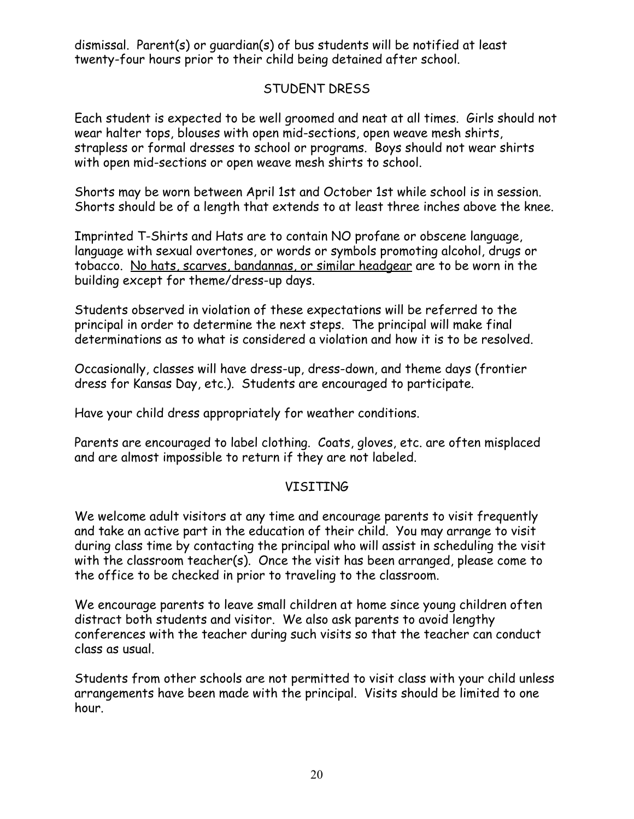dismissal. Parent(s) or guardian(s) of bus students will be notified at least twenty-four hours prior to their child being detained after school.

#### STUDENT DRESS

Each student is expected to be well groomed and neat at all times. Girls should not wear halter tops, blouses with open mid-sections, open weave mesh shirts, strapless or formal dresses to school or programs. Boys should not wear shirts with open mid-sections or open weave mesh shirts to school.

Shorts may be worn between April 1st and October 1st while school is in session. Shorts should be of a length that extends to at least three inches above the knee.

Imprinted T-Shirts and Hats are to contain NO profane or obscene language, language with sexual overtones, or words or symbols promoting alcohol, drugs or tobacco. No hats, scarves, bandannas, or similar headgear are to be worn in the building except for theme/dress-up days.

Students observed in violation of these expectations will be referred to the principal in order to determine the next steps. The principal will make final determinations as to what is considered a violation and how it is to be resolved.

Occasionally, classes will have dress-up, dress-down, and theme days (frontier dress for Kansas Day, etc.). Students are encouraged to participate.

Have your child dress appropriately for weather conditions.

Parents are encouraged to label clothing. Coats, gloves, etc. are often misplaced and are almost impossible to return if they are not labeled.

#### VISITING

We welcome adult visitors at any time and encourage parents to visit frequently and take an active part in the education of their child. You may arrange to visit during class time by contacting the principal who will assist in scheduling the visit with the classroom teacher(s). Once the visit has been arranged, please come to the office to be checked in prior to traveling to the classroom.

We encourage parents to leave small children at home since young children often distract both students and visitor. We also ask parents to avoid lengthy conferences with the teacher during such visits so that the teacher can conduct class as usual.

Students from other schools are not permitted to visit class with your child unless arrangements have been made with the principal. Visits should be limited to one hour.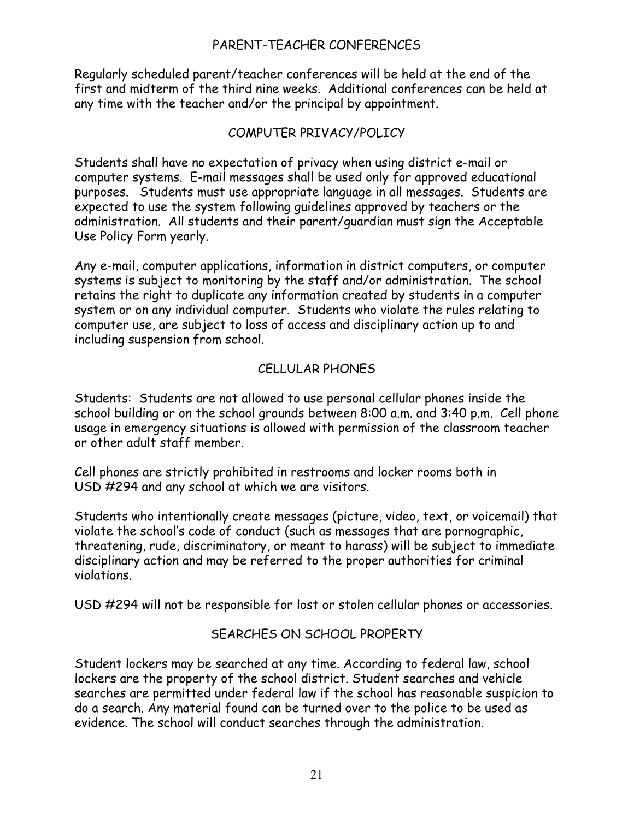#### PARENT-TEACHER CONFERENCES

Regularly scheduled parent/teacher conferences will be held at the end of the first and midterm of the third nine weeks. Additional conferences can be held at any time with the teacher and/or the principal by appointment.

#### COMPUTER PRIVACY/POLICY

Students shall have no expectation of privacy when using district e-mail or computer systems. E-mail messages shall be used only for approved educational purposes. Students must use appropriate language in all messages. Students are expected to use the system following guidelines approved by teachers or the administration. All students and their parent/guardian must sign the Acceptable Use Policy Form yearly.

Any e-mail, computer applications, information in district computers, or computer systems is subject to monitoring by the staff and/or administration. The school retains the right to duplicate any information created by students in a computer system or on any individual computer. Students who violate the rules relating to computer use, are subject to loss of access and disciplinary action up to and including suspension from school.

#### CELLULAR PHONES

Students: Students are not allowed to use personal cellular phones inside the school building or on the school grounds between 8:00 a.m. and 3:40 p.m. Cell phone usage in emergency situations is allowed with permission of the classroom teacher or other adult staff member.

Cell phones are strictly prohibited in restrooms and locker rooms both in USD #294 and any school at which we are visitors.

Students who intentionally create messages (picture, video, text, or voicemail) that violate the school's code of conduct (such as messages that are pornographic, threatening, rude, discriminatory, or meant to harass) will be subject to immediate disciplinary action and may be referred to the proper authorities for criminal violations.

USD #294 will not be responsible for lost or stolen cellular phones or accessories.

#### SEARCHES ON SCHOOL PROPERTY

Student lockers may be searched at any time. According to federal law, school lockers are the property of the school district. Student searches and vehicle searches are permitted under federal law if the school has reasonable suspicion to do a search. Any material found can be turned over to the police to be used as evidence. The school will conduct searches through the administration.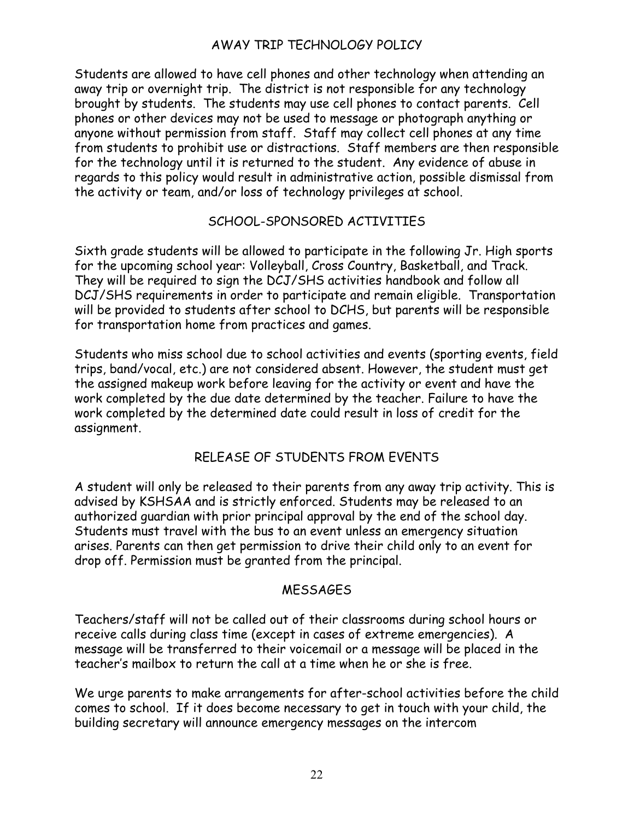#### AWAY TRIP TECHNOLOGY POLICY

Students are allowed to have cell phones and other technology when attending an away trip or overnight trip. The district is not responsible for any technology brought by students. The students may use cell phones to contact parents. Cell phones or other devices may not be used to message or photograph anything or anyone without permission from staff. Staff may collect cell phones at any time from students to prohibit use or distractions. Staff members are then responsible for the technology until it is returned to the student. Any evidence of abuse in regards to this policy would result in administrative action, possible dismissal from the activity or team, and/or loss of technology privileges at school.

#### SCHOOL-SPONSORED ACTIVITIES

Sixth grade students will be allowed to participate in the following Jr. High sports for the upcoming school year: Volleyball, Cross Country, Basketball, and Track. They will be required to sign the DCJ/SHS activities handbook and follow all DCJ/SHS requirements in order to participate and remain eligible. Transportation will be provided to students after school to DCHS, but parents will be responsible for transportation home from practices and games.

Students who miss school due to school activities and events (sporting events, field trips, band/vocal, etc.) are not considered absent. However, the student must get the assigned makeup work before leaving for the activity or event and have the work completed by the due date determined by the teacher. Failure to have the work completed by the determined date could result in loss of credit for the assignment.

#### RELEASE OF STUDENTS FROM EVENTS

A student will only be released to their parents from any away trip activity. This is advised by KSHSAA and is strictly enforced. Students may be released to an authorized guardian with prior principal approval by the end of the school day. Students must travel with the bus to an event unless an emergency situation arises. Parents can then get permission to drive their child only to an event for drop off. Permission must be granted from the principal.

#### **MESSAGES**

Teachers/staff will not be called out of their classrooms during school hours or receive calls during class time (except in cases of extreme emergencies). A message will be transferred to their voicemail or a message will be placed in the teacher's mailbox to return the call at a time when he or she is free.

We urge parents to make arrangements for after-school activities before the child comes to school. If it does become necessary to get in touch with your child, the building secretary will announce emergency messages on the intercom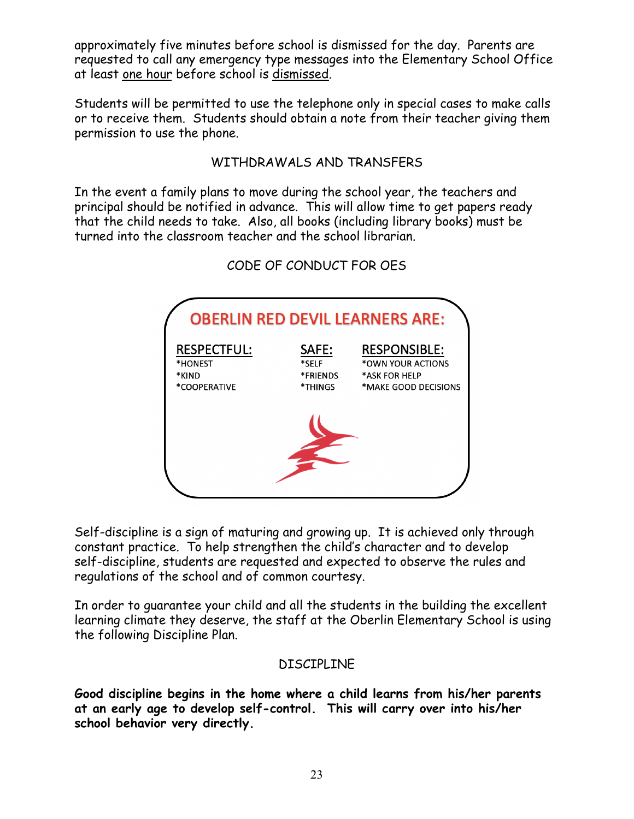approximately five minutes before school is dismissed for the day. Parents are requested to call any emergency type messages into the Elementary School Office at least one hour before school is dismissed.

Students will be permitted to use the telephone only in special cases to make calls or to receive them. Students should obtain a note from their teacher giving them permission to use the phone.

#### WITHDRAWALS AND TRANSFERS

In the event a family plans to move during the school year, the teachers and principal should be notified in advance. This will allow time to get papers ready that the child needs to take. Also, all books (including library books) must be turned into the classroom teacher and the school librarian.

| <b>OBERLIN RED DEVIL LEARNERS ARE:</b> |          |                      |
|----------------------------------------|----------|----------------------|
| <b>RESPECTFUL:</b>                     | SAFE:    | <b>RESPONSIBLE:</b>  |
| *HONEST                                | *SELF    | *OWN YOUR ACTIONS    |
| *KIND                                  | *FRIENDS | *ASK FOR HELP        |
| *COOPERATIVE                           | *THINGS  | *MAKE GOOD DECISIONS |

CODE OF CONDUCT FOR OES

Self-discipline is a sign of maturing and growing up. It is achieved only through constant practice. To help strengthen the child's character and to develop self-discipline, students are requested and expected to observe the rules and regulations of the school and of common courtesy.

In order to guarantee your child and all the students in the building the excellent learning climate they deserve, the staff at the Oberlin Elementary School is using the following Discipline Plan.

#### DISCIPLINE

**Good discipline begins in the home where a child learns from his/her parents at an early age to develop self-control. This will carry over into his/her school behavior very directly.**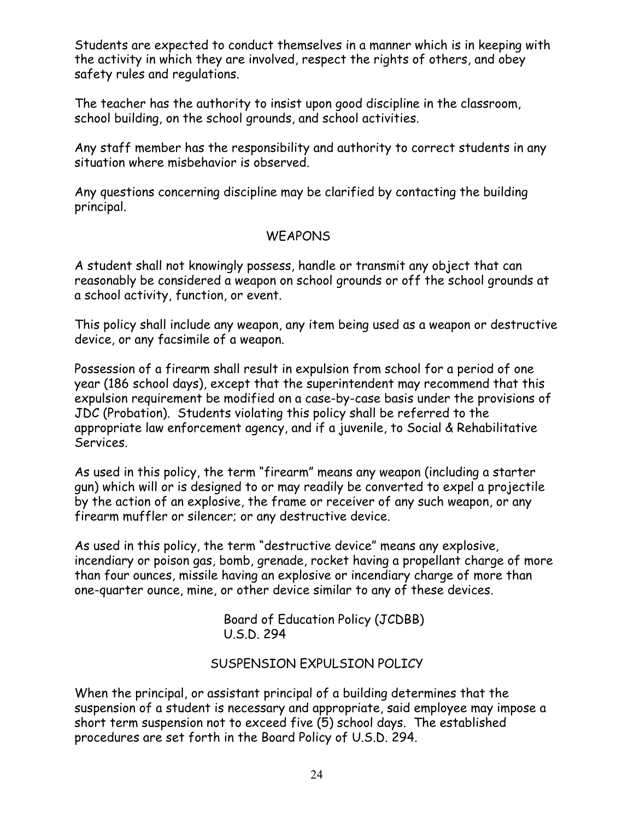Students are expected to conduct themselves in a manner which is in keeping with the activity in which they are involved, respect the rights of others, and obey safety rules and regulations.

The teacher has the authority to insist upon good discipline in the classroom, school building, on the school grounds, and school activities.

Any staff member has the responsibility and authority to correct students in any situation where misbehavior is observed.

Any questions concerning discipline may be clarified by contacting the building principal.

#### **WEAPONS**

A student shall not knowingly possess, handle or transmit any object that can reasonably be considered a weapon on school grounds or off the school grounds at a school activity, function, or event.

This policy shall include any weapon, any item being used as a weapon or destructive device, or any facsimile of a weapon.

Possession of a firearm shall result in expulsion from school for a period of one year (186 school days), except that the superintendent may recommend that this expulsion requirement be modified on a case-by-case basis under the provisions of JDC (Probation). Students violating this policy shall be referred to the appropriate law enforcement agency, and if a juvenile, to Social & Rehabilitative Services.

As used in this policy, the term "firearm" means any weapon (including a starter gun) which will or is designed to or may readily be converted to expel a projectile by the action of an explosive, the frame or receiver of any such weapon, or any firearm muffler or silencer; or any destructive device.

As used in this policy, the term "destructive device" means any explosive, incendiary or poison gas, bomb, grenade, rocket having a propellant charge of more than four ounces, missile having an explosive or incendiary charge of more than one-quarter ounce, mine, or other device similar to any of these devices.

> Board of Education Policy (JCDBB) U.S.D. 294

#### SUSPENSION EXPULSION POLICY

When the principal, or assistant principal of a building determines that the suspension of a student is necessary and appropriate, said employee may impose a short term suspension not to exceed five (5) school days. The established procedures are set forth in the Board Policy of U.S.D. 294.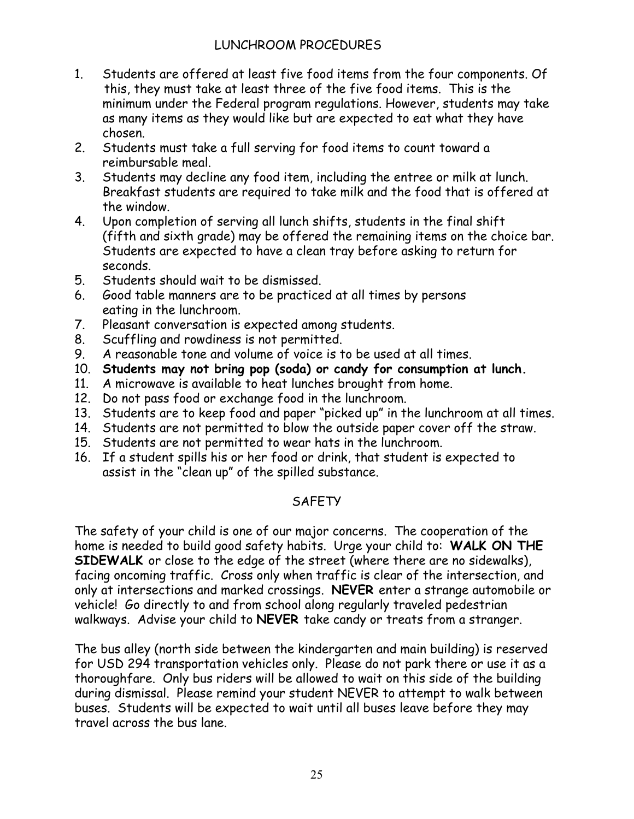#### LUNCHROOM PROCEDURES

- 1. Students are offered at least five food items from the four components. Of this, they must take at least three of the five food items. This is the minimum under the Federal program regulations. However, students may take as many items as they would like but are expected to eat what they have chosen.
- 2. Students must take a full serving for food items to count toward a reimbursable meal.
- 3. Students may decline any food item, including the entree or milk at lunch. Breakfast students are required to take milk and the food that is offered at the window.
- 4. Upon completion of serving all lunch shifts, students in the final shift (fifth and sixth grade) may be offered the remaining items on the choice bar. Students are expected to have a clean tray before asking to return for seconds.
- 5. Students should wait to be dismissed.
- 6. Good table manners are to be practiced at all times by persons eating in the lunchroom.
- 7. Pleasant conversation is expected among students.
- 8. Scuffling and rowdiness is not permitted.
- 9. A reasonable tone and volume of voice is to be used at all times.
- 10. **Students may not bring pop (soda) or candy for consumption at lunch.**
- 11. A microwave is available to heat lunches brought from home.
- 12. Do not pass food or exchange food in the lunchroom.
- 13. Students are to keep food and paper "picked up" in the lunchroom at all times.
- 14. Students are not permitted to blow the outside paper cover off the straw.
- 15. Students are not permitted to wear hats in the lunchroom.
- 16. If a student spills his or her food or drink, that student is expected to assist in the "clean up" of the spilled substance.

# **SAFETY**

The safety of your child is one of our major concerns. The cooperation of the home is needed to build good safety habits. Urge your child to: **WALK ON THE SIDEWALK** or close to the edge of the street (where there are no sidewalks), facing oncoming traffic. Cross only when traffic is clear of the intersection, and only at intersections and marked crossings. **NEVER** enter a strange automobile or vehicle! Go directly to and from school along regularly traveled pedestrian walkways. Advise your child to **NEVER** take candy or treats from a stranger.

The bus alley (north side between the kindergarten and main building) is reserved for USD 294 transportation vehicles only. Please do not park there or use it as a thoroughfare. Only bus riders will be allowed to wait on this side of the building during dismissal. Please remind your student NEVER to attempt to walk between buses. Students will be expected to wait until all buses leave before they may travel across the bus lane.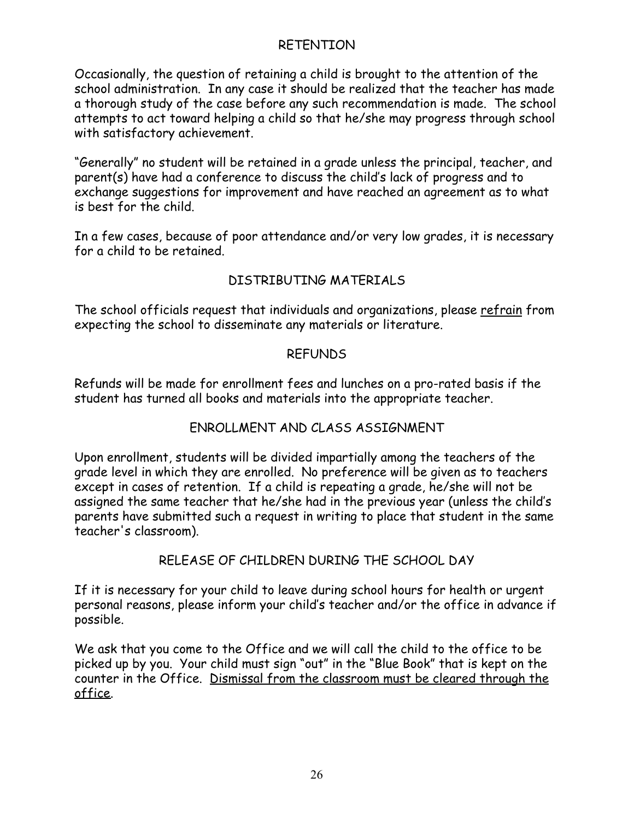#### RETENTION

Occasionally, the question of retaining a child is brought to the attention of the school administration. In any case it should be realized that the teacher has made a thorough study of the case before any such recommendation is made. The school attempts to act toward helping a child so that he/she may progress through school with satisfactory achievement.

"Generally" no student will be retained in a grade unless the principal, teacher, and parent(s) have had a conference to discuss the child's lack of progress and to exchange suggestions for improvement and have reached an agreement as to what is best for the child.

In a few cases, because of poor attendance and/or very low grades, it is necessary for a child to be retained.

### DISTRIBUTING MATERIALS

The school officials request that individuals and organizations, please refrain from expecting the school to disseminate any materials or literature.

#### REFUNDS

Refunds will be made for enrollment fees and lunches on a pro-rated basis if the student has turned all books and materials into the appropriate teacher.

#### ENROLLMENT AND CLASS ASSIGNMENT

Upon enrollment, students will be divided impartially among the teachers of the grade level in which they are enrolled. No preference will be given as to teachers except in cases of retention. If a child is repeating a grade, he/she will not be assigned the same teacher that he/she had in the previous year (unless the child's parents have submitted such a request in writing to place that student in the same teacher's classroom).

#### RELEASE OF CHILDREN DURING THE SCHOOL DAY

If it is necessary for your child to leave during school hours for health or urgent personal reasons, please inform your child's teacher and/or the office in advance if possible.

We ask that you come to the Office and we will call the child to the office to be picked up by you. Your child must sign "out" in the "Blue Book" that is kept on the counter in the Office. Dismissal from the classroom must be cleared through the office.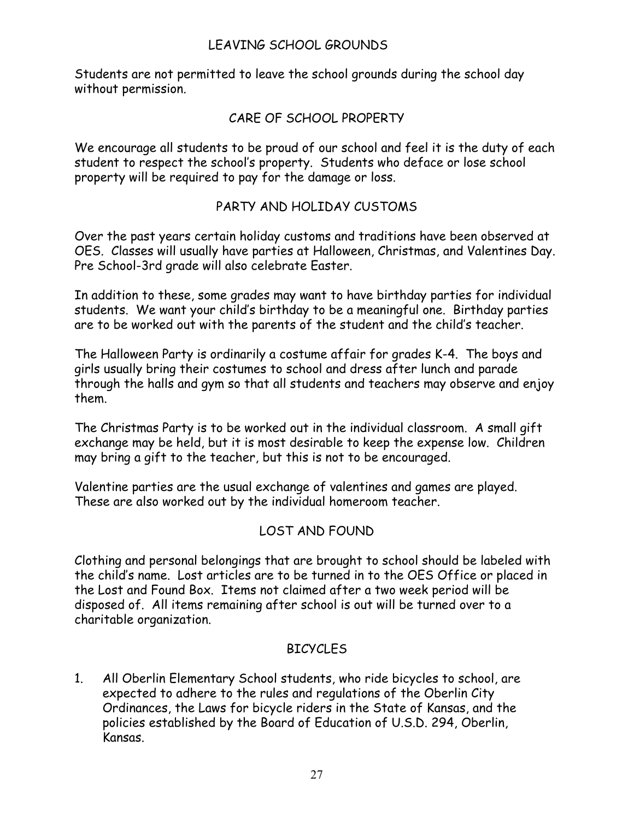#### LEAVING SCHOOL GROUNDS

Students are not permitted to leave the school grounds during the school day without permission.

#### CARE OF SCHOOL PROPERTY

We encourage all students to be proud of our school and feel it is the duty of each student to respect the school's property. Students who deface or lose school property will be required to pay for the damage or loss.

#### PARTY AND HOLIDAY CUSTOMS

Over the past years certain holiday customs and traditions have been observed at OES. Classes will usually have parties at Halloween, Christmas, and Valentines Day. Pre School-3rd grade will also celebrate Easter.

In addition to these, some grades may want to have birthday parties for individual students. We want your child's birthday to be a meaningful one. Birthday parties are to be worked out with the parents of the student and the child's teacher.

The Halloween Party is ordinarily a costume affair for grades K-4. The boys and girls usually bring their costumes to school and dress after lunch and parade through the halls and gym so that all students and teachers may observe and enjoy them.

The Christmas Party is to be worked out in the individual classroom. A small gift exchange may be held, but it is most desirable to keep the expense low. Children may bring a gift to the teacher, but this is not to be encouraged.

Valentine parties are the usual exchange of valentines and games are played. These are also worked out by the individual homeroom teacher.

#### LOST AND FOUND

Clothing and personal belongings that are brought to school should be labeled with the child's name. Lost articles are to be turned in to the OES Office or placed in the Lost and Found Box. Items not claimed after a two week period will be disposed of. All items remaining after school is out will be turned over to a charitable organization.

#### **BICYCLES**

1. All Oberlin Elementary School students, who ride bicycles to school, are expected to adhere to the rules and regulations of the Oberlin City Ordinances, the Laws for bicycle riders in the State of Kansas, and the policies established by the Board of Education of U.S.D. 294, Oberlin, Kansas.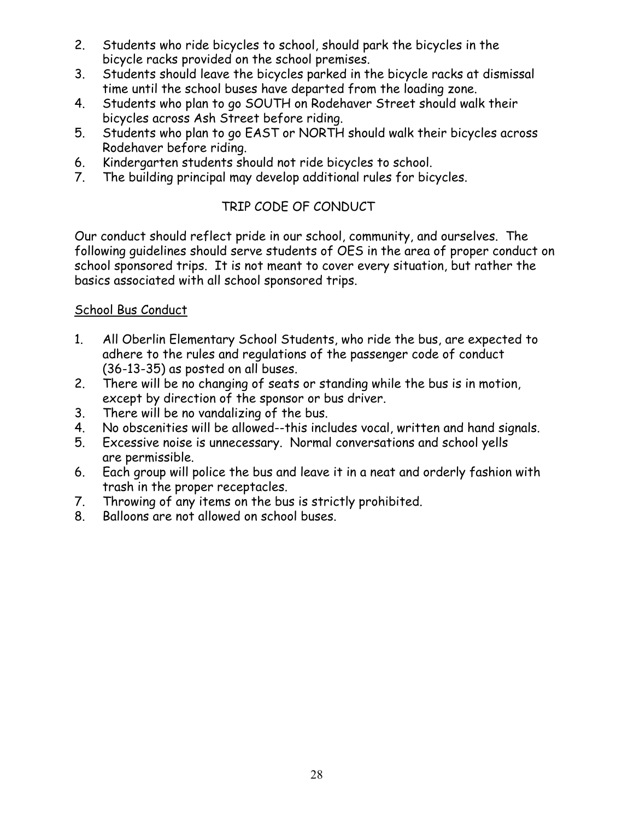- 2. Students who ride bicycles to school, should park the bicycles in the bicycle racks provided on the school premises.
- 3. Students should leave the bicycles parked in the bicycle racks at dismissal time until the school buses have departed from the loading zone.
- 4. Students who plan to go SOUTH on Rodehaver Street should walk their bicycles across Ash Street before riding.
- 5. Students who plan to go EAST or NORTH should walk their bicycles across Rodehaver before riding.
- 6. Kindergarten students should not ride bicycles to school.
- 7. The building principal may develop additional rules for bicycles.

# TRIP CODE OF CONDUCT

Our conduct should reflect pride in our school, community, and ourselves. The following guidelines should serve students of OES in the area of proper conduct on school sponsored trips. It is not meant to cover every situation, but rather the basics associated with all school sponsored trips.

#### School Bus Conduct

- 1. All Oberlin Elementary School Students, who ride the bus, are expected to adhere to the rules and regulations of the passenger code of conduct (36-13-35) as posted on all buses.
- 2. There will be no changing of seats or standing while the bus is in motion, except by direction of the sponsor or bus driver.
- 3. There will be no vandalizing of the bus.
- 4. No obscenities will be allowed--this includes vocal, written and hand signals.
- 5. Excessive noise is unnecessary. Normal conversations and school yells are permissible.
- 6. Each group will police the bus and leave it in a neat and orderly fashion with trash in the proper receptacles.
- 7. Throwing of any items on the bus is strictly prohibited.
- 8. Balloons are not allowed on school buses.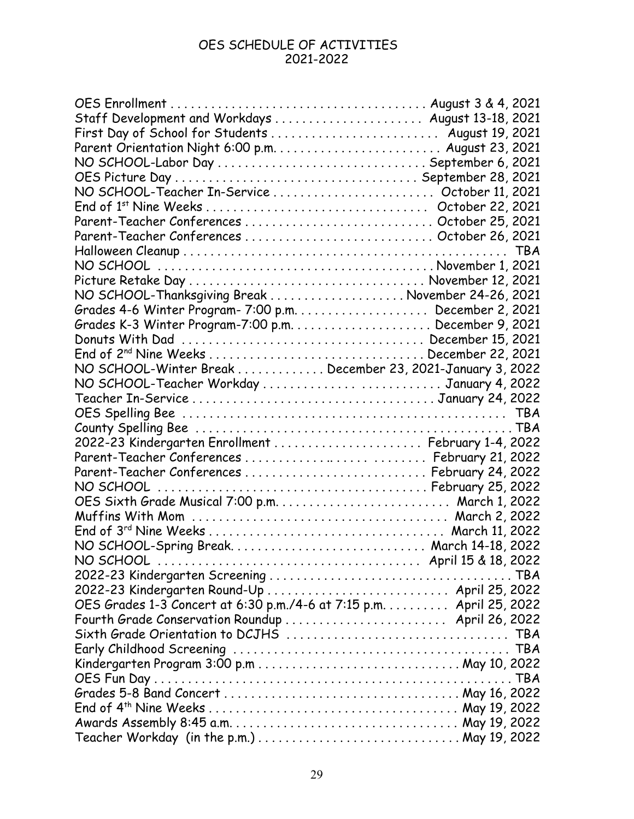#### OES SCHEDULE OF ACTIVITIES 2021-2022

| Staff Development and Workdays  August 13-18, 2021                                                                   |            |
|----------------------------------------------------------------------------------------------------------------------|------------|
| First Day of School for Students  August 19, 2021                                                                    |            |
|                                                                                                                      |            |
|                                                                                                                      |            |
|                                                                                                                      |            |
| NO SCHOOL-Teacher In-Service  October 11, 2021                                                                       |            |
|                                                                                                                      |            |
|                                                                                                                      |            |
| Parent-Teacher Conferences  October 26, 2021                                                                         |            |
|                                                                                                                      | <b>TBA</b> |
|                                                                                                                      |            |
|                                                                                                                      |            |
| NO SCHOOL-Thanksgiving Break  November 24-26, 2021                                                                   |            |
|                                                                                                                      |            |
|                                                                                                                      |            |
|                                                                                                                      |            |
|                                                                                                                      |            |
| NO SCHOOL-Winter Break  December 23, 2021-January 3, 2022                                                            |            |
| NO SCHOOL-Teacher Workday  January 4, 2022                                                                           |            |
|                                                                                                                      |            |
|                                                                                                                      |            |
|                                                                                                                      |            |
| 2022-23 Kindergarten Enrollment  February 1-4, 2022                                                                  |            |
|                                                                                                                      |            |
| Parent-Teacher Conferences  February 24, 2022                                                                        |            |
|                                                                                                                      |            |
|                                                                                                                      |            |
|                                                                                                                      |            |
|                                                                                                                      |            |
|                                                                                                                      |            |
|                                                                                                                      |            |
|                                                                                                                      |            |
|                                                                                                                      |            |
| 2022-23 Kindergarten Round-Up  April 25, 2022<br>OES Grades 1-3 Concert at 6:30 p.m./4-6 at 7:15 p.m. April 25, 2022 |            |
| Fourth Grade Conservation Roundup  April 26, 2022                                                                    |            |
|                                                                                                                      |            |
|                                                                                                                      |            |
|                                                                                                                      |            |
|                                                                                                                      |            |
|                                                                                                                      |            |
|                                                                                                                      |            |
|                                                                                                                      |            |
|                                                                                                                      |            |
|                                                                                                                      |            |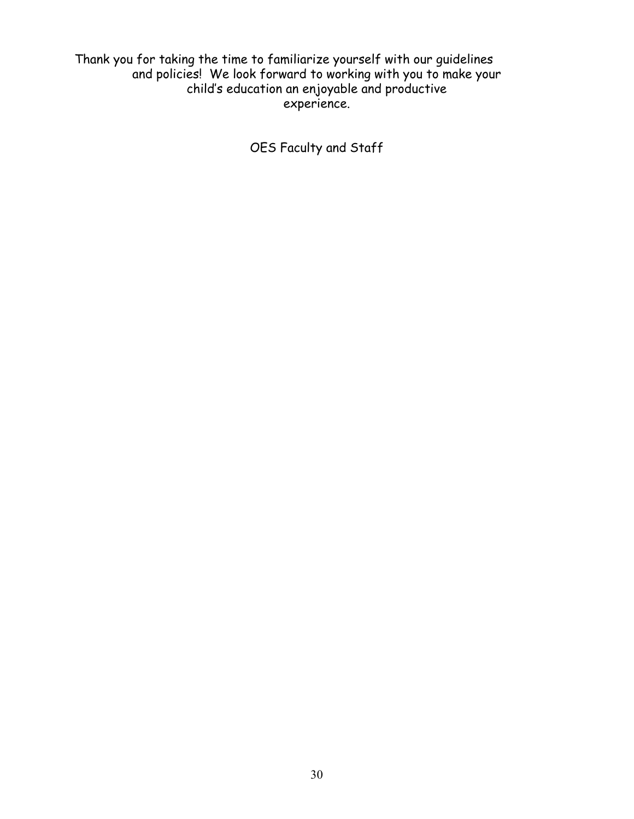Thank you for taking the time to familiarize yourself with our guidelines and policies! We look forward to working with you to make your child's education an enjoyable and productive experience.

OES Faculty and Staff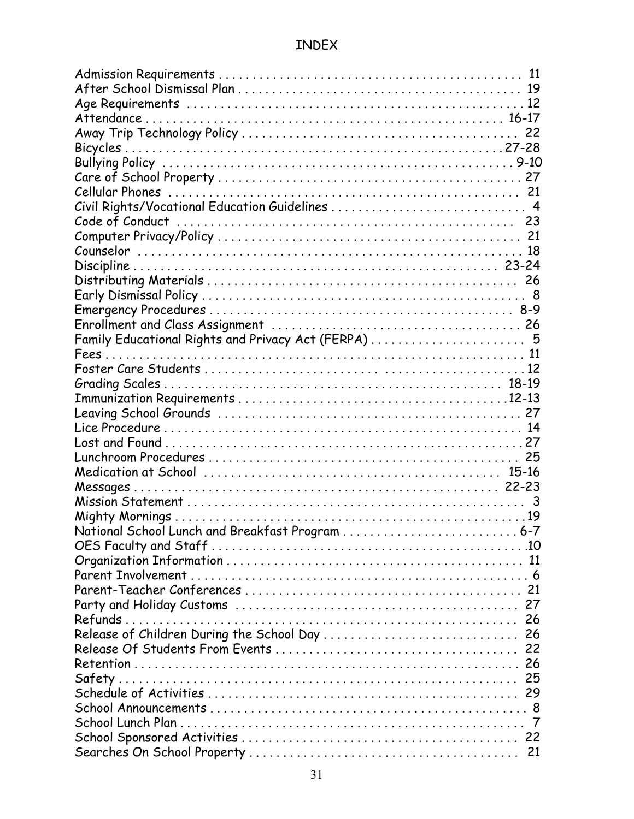# INDEX

| Family Educational Rights and Privacy Act (FERPA)  5 |  |
|------------------------------------------------------|--|
|                                                      |  |
|                                                      |  |
|                                                      |  |
|                                                      |  |
|                                                      |  |
|                                                      |  |
|                                                      |  |
|                                                      |  |
|                                                      |  |
|                                                      |  |
|                                                      |  |
|                                                      |  |
| National School Lunch and Breakfast Program  6-7     |  |
|                                                      |  |
|                                                      |  |
|                                                      |  |
|                                                      |  |
|                                                      |  |
|                                                      |  |
| Release of Children During the School Day  26        |  |
|                                                      |  |
|                                                      |  |
|                                                      |  |
|                                                      |  |
|                                                      |  |
|                                                      |  |
|                                                      |  |
|                                                      |  |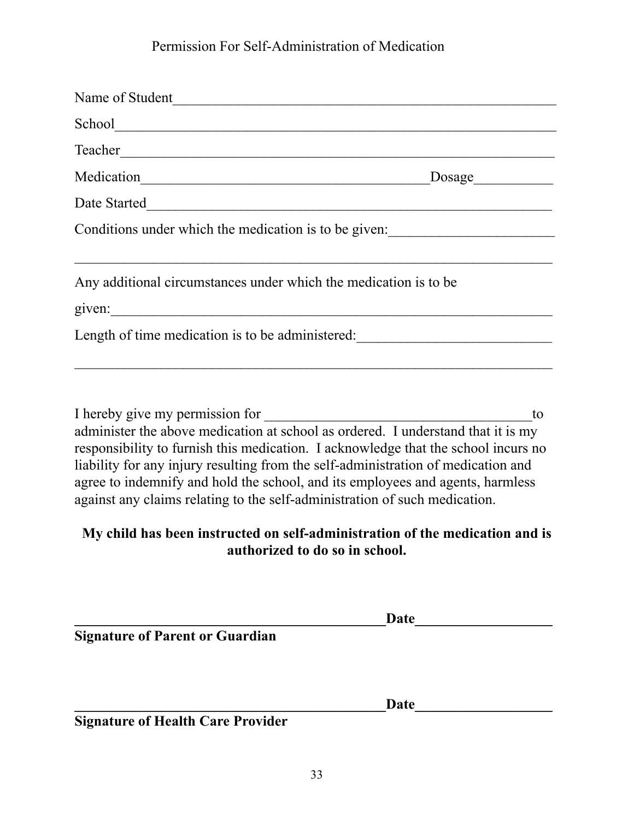# Permission For Self-Administration of Medication

| School and the second second second second second second second second second second second second second second second second second second second second second second second second second second second second second seco                                                                                                                                                                                                                                 |                                                                                                                |
|----------------------------------------------------------------------------------------------------------------------------------------------------------------------------------------------------------------------------------------------------------------------------------------------------------------------------------------------------------------------------------------------------------------------------------------------------------------|----------------------------------------------------------------------------------------------------------------|
|                                                                                                                                                                                                                                                                                                                                                                                                                                                                |                                                                                                                |
|                                                                                                                                                                                                                                                                                                                                                                                                                                                                |                                                                                                                |
|                                                                                                                                                                                                                                                                                                                                                                                                                                                                |                                                                                                                |
|                                                                                                                                                                                                                                                                                                                                                                                                                                                                | Conditions under which the medication is to be given:                                                          |
| Any additional circumstances under which the medication is to be                                                                                                                                                                                                                                                                                                                                                                                               |                                                                                                                |
|                                                                                                                                                                                                                                                                                                                                                                                                                                                                |                                                                                                                |
| I hereby give my permission for<br>administer the above medication at school as ordered. I understand that it is my<br>responsibility to furnish this medication. I acknowledge that the school incurs no<br>liability for any injury resulting from the self-administration of medication and<br>agree to indemnify and hold the school, and its employees and agents, harmless<br>against any claims relating to the self-administration of such medication. | to                                                                                                             |
|                                                                                                                                                                                                                                                                                                                                                                                                                                                                | My child has been instructed on self-administration of the medication and is<br>authorized to do so in school. |
|                                                                                                                                                                                                                                                                                                                                                                                                                                                                | <b>Date</b>                                                                                                    |

**Signature of Parent or Guardian**

**\_\_\_\_\_\_\_\_\_\_\_\_\_\_\_\_\_\_\_\_\_\_\_\_\_\_\_\_\_\_\_\_\_\_\_\_\_\_\_\_\_\_\_Date\_\_\_\_\_\_\_\_\_\_\_\_\_\_\_\_\_\_\_**

**Signature of Health Care Provider**